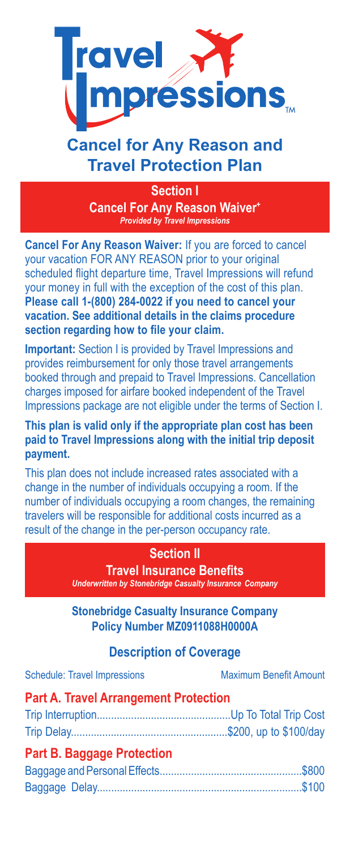

# **Cancel for Any Reason and Travel Protection Plan**

**Section I Cancel For Any Reason Waiver+** *Provided by Travel Impressions*

**Cancel For Any Reason Waiver:** If you are forced to cancel your vacation FOR ANY REASON prior to your original scheduled flight departure time, Travel Impressions will refund your money in full with the exception of the cost of this plan. **Please call 1-(800) 284-0022 if you need to cancel your vacation. See additional details in the claims procedure section regarding how to file your claim.** 

**Important:** Section I is provided by Travel Impressions and provides reimbursement for only those travel arrangements booked through and prepaid to Travel Impressions. Cancellation charges imposed for airfare booked independent of the Travel Impressions package are not eligible under the terms of Section I.

**This plan is valid only if the appropriate plan cost has been paid to Travel Impressions along with the initial trip deposit payment.** 

This plan does not include increased rates associated with a change in the number of individuals occupying a room. If the number of individuals occupying a room changes, the remaining travelers will be responsible for additional costs incurred as a result of the change in the per-person occupancy rate.

#### **Section II**

**Travel Insurance Benefits** *Underwritten by Stonebridge Casualty Insurance Company*

**Stonebridge Casualty Insurance Company Policy Number MZ0911088H0000A**

### **Description of Coverage**

| <b>Schedule: Travel Impressions</b>          | <b>Maximum Benefit Amount</b> |
|----------------------------------------------|-------------------------------|
| <b>Part A. Travel Arrangement Protection</b> |                               |
|                                              |                               |
|                                              |                               |
| <b>Part B. Baggage Protection</b>            |                               |
|                                              |                               |

Baggage Delay........................................................................\$100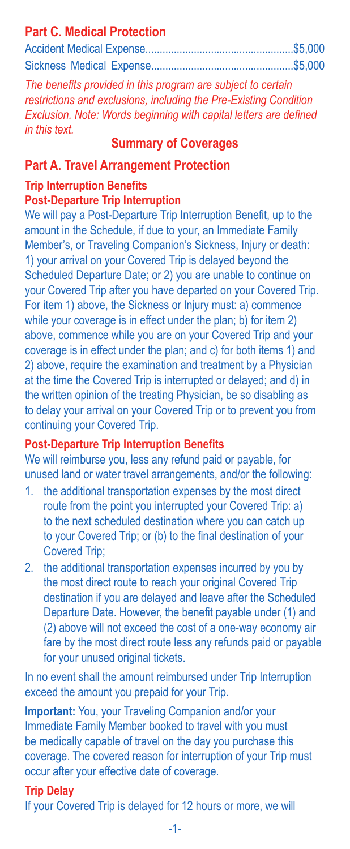# **Part C. Medical Protection**

*The benefits provided in this program are subject to certain restrictions and exclusions, including the Pre-Existing Condition Exclusion. Note: Words beginning with capital letters are defined in this text.*

### **Summary of Coverages**

#### **Part A. Travel Arrangement Protection**

# **Trip Interruption Benefits**

### **Post-Departure Trip Interruption**

We will pay a Post-Departure Trip Interruption Benefit, up to the amount in the Schedule, if due to your, an Immediate Family Member's, or Traveling Companion's Sickness, Injury or death: 1) your arrival on your Covered Trip is delayed beyond the Scheduled Departure Date; or 2) you are unable to continue on your Covered Trip after you have departed on your Covered Trip. For item 1) above, the Sickness or Injury must: a) commence while your coverage is in effect under the plan; b) for item 2) above, commence while you are on your Covered Trip and your coverage is in effect under the plan; and c) for both items 1) and 2) above, require the examination and treatment by a Physician at the time the Covered Trip is interrupted or delayed; and d) in the written opinion of the treating Physician, be so disabling as to delay your arrival on your Covered Trip or to prevent you from continuing your Covered Trip.

#### **Post-Departure Trip Interruption Benefits**

We will reimburse you, less any refund paid or payable, for unused land or water travel arrangements, and/or the following:

- 1. the additional transportation expenses by the most direct route from the point you interrupted your Covered Trip: a) to the next scheduled destination where you can catch up to your Covered Trip; or (b) to the final destination of your Covered Trip;
- 2. the additional transportation expenses incurred by you by the most direct route to reach your original Covered Trip destination if you are delayed and leave after the Scheduled Departure Date. However, the benefit payable under (1) and (2) above will not exceed the cost of a one-way economy air fare by the most direct route less any refunds paid or payable for your unused original tickets.

In no event shall the amount reimbursed under Trip Interruption exceed the amount you prepaid for your Trip.

**Important:** You, your Traveling Companion and/or your Immediate Family Member booked to travel with you must be medically capable of travel on the day you purchase this coverage. The covered reason for interruption of your Trip must occur after your effective date of coverage.

### **Trip Delay**

If your Covered Trip is delayed for 12 hours or more, we will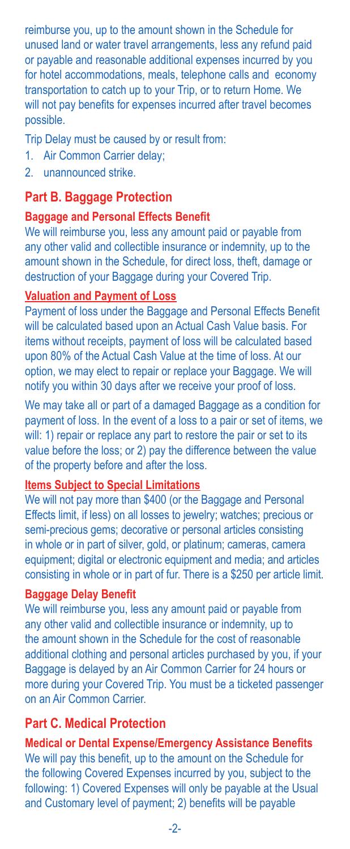reimburse you, up to the amount shown in the Schedule for unused land or water travel arrangements, less any refund paid or payable and reasonable additional expenses incurred by you for hotel accommodations, meals, telephone calls and economy transportation to catch up to your Trip, or to return Home. We will not pay benefits for expenses incurred after travel becomes possible.

Trip Delay must be caused by or result from:

- 1. Air Common Carrier delay;
- 2. unannounced strike.

#### **Part B. Baggage Protection**

#### **Baggage and Personal Effects Benefit**

We will reimburse you, less any amount paid or payable from any other valid and collectible insurance or indemnity, up to the amount shown in the Schedule, for direct loss, theft, damage or destruction of your Baggage during your Covered Trip.

#### **Valuation and Payment of Loss**

Payment of loss under the Baggage and Personal Effects Benefit will be calculated based upon an Actual Cash Value basis. For items without receipts, payment of loss will be calculated based upon 80% of the Actual Cash Value at the time of loss. At our option, we may elect to repair or replace your Baggage. We will notify you within 30 days after we receive your proof of loss.

We may take all or part of a damaged Baggage as a condition for payment of loss. In the event of a loss to a pair or set of items, we will: 1) repair or replace any part to restore the pair or set to its value before the loss; or 2) pay the difference between the value of the property before and after the loss.

#### **Items Subject to Special Limitations**

We will not pay more than \$400 (or the Baggage and Personal Effects limit, if less) on all losses to jewelry; watches; precious or semi-precious gems; decorative or personal articles consisting in whole or in part of silver, gold, or platinum; cameras, camera equipment; digital or electronic equipment and media; and articles consisting in whole or in part of fur. There is a \$250 per article limit.

#### **Baggage Delay Benefit**

We will reimburse you, less any amount paid or payable from any other valid and collectible insurance or indemnity, up to the amount shown in the Schedule for the cost of reasonable additional clothing and personal articles purchased by you, if your Baggage is delayed by an Air Common Carrier for 24 hours or more during your Covered Trip. You must be a ticketed passenger on an Air Common Carrier.

### **Part C. Medical Protection**

#### **Medical or Dental Expense/Emergency Assistance Benefits**

We will pay this benefit, up to the amount on the Schedule for the following Covered Expenses incurred by you, subject to the following: 1) Covered Expenses will only be payable at the Usual and Customary level of payment; 2) benefits will be payable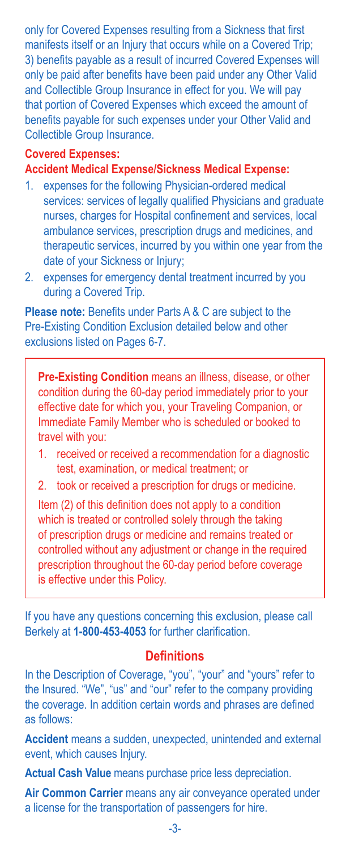only for Covered Expenses resulting from a Sickness that first manifests itself or an Injury that occurs while on a Covered Trip; 3) benefits payable as a result of incurred Covered Expenses will only be paid after benefits have been paid under any Other Valid and Collectible Group Insurance in effect for you. We will pay that portion of Covered Expenses which exceed the amount of benefits payable for such expenses under your Other Valid and Collectible Group Insurance.

### **Covered Expenses:**

**Accident Medical Expense/Sickness Medical Expense:**

- 1. expenses for the following Physician-ordered medical services: services of legally qualified Physicians and graduate nurses, charges for Hospital confinement and services, local ambulance services, prescription drugs and medicines, and therapeutic services, incurred by you within one year from the date of your Sickness or Injury;
- 2. expenses for emergency dental treatment incurred by you during a Covered Trip.

**Please note:** Benefits under Parts A & C are subject to the Pre-Existing Condition Exclusion detailed below and other exclusions listed on Pages 6-7.

**Pre-Existing Condition** means an illness, disease, or other condition during the 60-day period immediately prior to your effective date for which you, your Traveling Companion, or Immediate Family Member who is scheduled or booked to travel with you:

- 1. received or received a recommendation for a diagnostic test, examination, or medical treatment; or
- 2. took or received a prescription for drugs or medicine.

Item (2) of this definition does not apply to a condition which is treated or controlled solely through the taking of prescription drugs or medicine and remains treated or controlled without any adjustment or change in the required prescription throughout the 60-day period before coverage is effective under this Policy.

If you have any questions concerning this exclusion, please call Berkely at **1-800-453-4053** for further clarification.

#### **Definitions**

In the Description of Coverage, "you", "your" and "yours" refer to the Insured. "We", "us" and "our" refer to the company providing the coverage. In addition certain words and phrases are defined as follows:

**Accident** means a sudden, unexpected, unintended and external event, which causes Injury.

**Actual Cash Value** means purchase price less depreciation.

**Air Common Carrier** means any air conveyance operated under a license for the transportation of passengers for hire.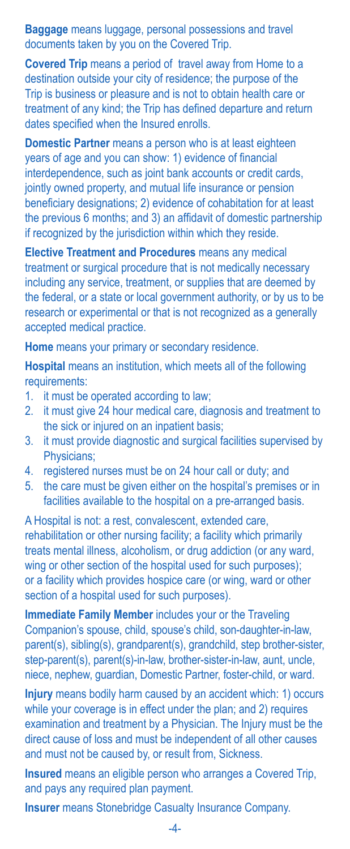**Baggage** means luggage, personal possessions and travel documents taken by you on the Covered Trip.

**Covered Trip** means a period of travel away from Home to a destination outside your city of residence; the purpose of the Trip is business or pleasure and is not to obtain health care or treatment of any kind; the Trip has defined departure and return dates specified when the Insured enrolls.

**Domestic Partner** means a person who is at least eighteen years of age and you can show: 1) evidence of financial interdependence, such as joint bank accounts or credit cards, jointly owned property, and mutual life insurance or pension beneficiary designations; 2) evidence of cohabitation for at least the previous 6 months; and 3) an affidavit of domestic partnership if recognized by the jurisdiction within which they reside.

**Elective Treatment and Procedures** means any medical treatment or surgical procedure that is not medically necessary including any service, treatment, or supplies that are deemed by the federal, or a state or local government authority, or by us to be research or experimental or that is not recognized as a generally accepted medical practice.

**Home** means your primary or secondary residence.

**Hospital** means an institution, which meets all of the following requirements:

- 1. it must be operated according to law;
- 2. it must give 24 hour medical care, diagnosis and treatment to the sick or injured on an inpatient basis;
- 3. it must provide diagnostic and surgical facilities supervised by Physicians;
- 4. registered nurses must be on 24 hour call or duty; and
- 5. the care must be given either on the hospital's premises or in facilities available to the hospital on a pre-arranged basis.

A Hospital is not: a rest, convalescent, extended care, rehabilitation or other nursing facility; a facility which primarily treats mental illness, alcoholism, or drug addiction (or any ward, wing or other section of the hospital used for such purposes); or a facility which provides hospice care (or wing, ward or other section of a hospital used for such purposes).

**Immediate Family Member** includes your or the Traveling Companion's spouse, child, spouse's child, son-daughter-in-law, parent(s), sibling(s), grandparent(s), grandchild, step brother-sister, step-parent(s), parent(s)-in-law, brother-sister-in-law, aunt, uncle, niece, nephew, guardian, Domestic Partner, foster-child, or ward.

**Injury** means bodily harm caused by an accident which: 1) occurs while your coverage is in effect under the plan; and 2) requires examination and treatment by a Physician. The Injury must be the direct cause of loss and must be independent of all other causes and must not be caused by, or result from, Sickness.

**Insured** means an eligible person who arranges a Covered Trip, and pays any required plan payment.

**Insurer** means Stonebridge Casualty Insurance Company.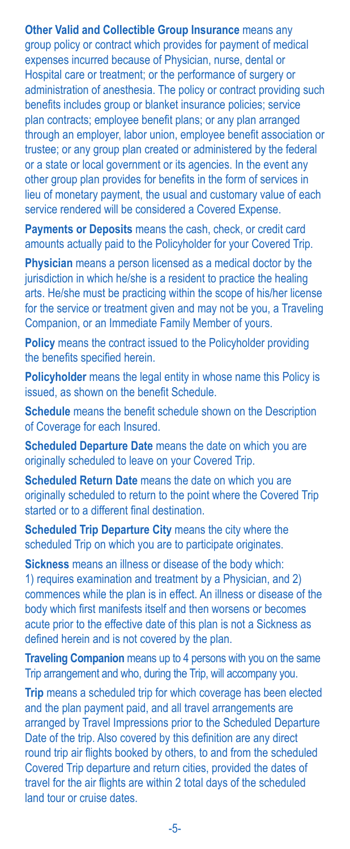**Other Valid and Collectible Group Insurance** means any group policy or contract which provides for payment of medical expenses incurred because of Physician, nurse, dental or Hospital care or treatment; or the performance of surgery or administration of anesthesia. The policy or contract providing such benefits includes group or blanket insurance policies; service plan contracts; employee benefit plans; or any plan arranged through an employer, labor union, employee benefit association or trustee; or any group plan created or administered by the federal or a state or local government or its agencies. In the event any other group plan provides for benefits in the form of services in lieu of monetary payment, the usual and customary value of each service rendered will be considered a Covered Expense.

**Payments or Deposits** means the cash, check, or credit card amounts actually paid to the Policyholder for your Covered Trip.

**Physician** means a person licensed as a medical doctor by the jurisdiction in which he/she is a resident to practice the healing arts. He/she must be practicing within the scope of his/her license for the service or treatment given and may not be you, a Traveling Companion, or an Immediate Family Member of yours.

**Policy** means the contract issued to the Policyholder providing the benefits specified herein.

**Policyholder** means the legal entity in whose name this Policy is issued, as shown on the benefit Schedule.

**Schedule** means the benefit schedule shown on the Description of Coverage for each Insured.

**Scheduled Departure Date** means the date on which you are originally scheduled to leave on your Covered Trip.

**Scheduled Return Date** means the date on which you are originally scheduled to return to the point where the Covered Trip started or to a different final destination.

**Scheduled Trip Departure City** means the city where the scheduled Trip on which you are to participate originates.

**Sickness** means an illness or disease of the body which: 1) requires examination and treatment by a Physician, and 2) commences while the plan is in effect. An illness or disease of the body which first manifests itself and then worsens or becomes acute prior to the effective date of this plan is not a Sickness as defined herein and is not covered by the plan.

**Traveling Companion** means up to 4 persons with you on the same Trip arrangement and who, during the Trip, will accompany you.

**Trip** means a scheduled trip for which coverage has been elected and the plan payment paid, and all travel arrangements are arranged by Travel Impressions prior to the Scheduled Departure Date of the trip. Also covered by this definition are any direct round trip air flights booked by others, to and from the scheduled Covered Trip departure and return cities, provided the dates of travel for the air flights are within 2 total days of the scheduled land tour or cruise dates.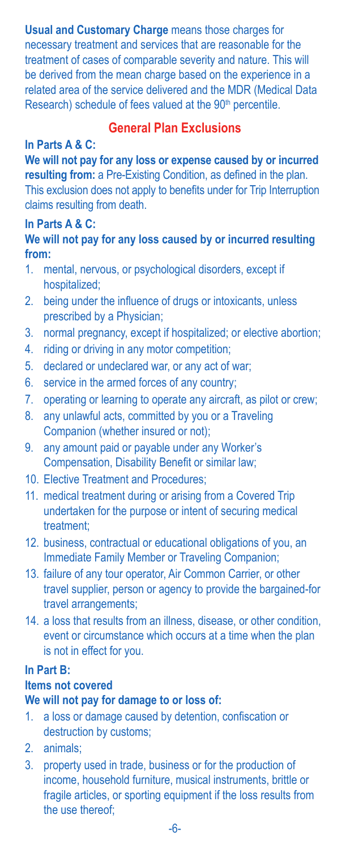#### **Usual and Customary Charge** means those charges for

necessary treatment and services that are reasonable for the treatment of cases of comparable severity and nature. This will be derived from the mean charge based on the experience in a related area of the service delivered and the MDR (Medical Data Research) schedule of fees valued at the 90<sup>th</sup> percentile.

#### **General Plan Exclusions**

#### **In Parts A & C:**

**We will not pay for any loss or expense caused by or incurred resulting from:** a Pre-Existing Condition, as defined in the plan. This exclusion does not apply to benefits under for Trip Interruption claims resulting from death.

#### **In Parts A & C:**

#### **We will not pay for any loss caused by or incurred resulting from:**

- 1. mental, nervous, or psychological disorders, except if hospitalized;
- 2. being under the influence of drugs or intoxicants, unless prescribed by a Physician;
- 3. normal pregnancy, except if hospitalized; or elective abortion;
- 4. riding or driving in any motor competition;
- 5. declared or undeclared war, or any act of war;
- 6. service in the armed forces of any country;
- 7. operating or learning to operate any aircraft, as pilot or crew;
- 8. any unlawful acts, committed by you or a Traveling Companion (whether insured or not);
- 9. any amount paid or payable under any Worker's Compensation, Disability Benefit or similar law;
- 10. Elective Treatment and Procedures;
- 11. medical treatment during or arising from a Covered Trip undertaken for the purpose or intent of securing medical treatment;
- 12. business, contractual or educational obligations of you, an Immediate Family Member or Traveling Companion;
- 13. failure of any tour operator, Air Common Carrier, or other travel supplier, person or agency to provide the bargained-for travel arrangements;
- 14. a loss that results from an illness, disease, or other condition, event or circumstance which occurs at a time when the plan is not in effect for you.

#### **In Part B:**

### **Items not covered**

#### **We will not pay for damage to or loss of:**

- 1. a loss or damage caused by detention, confiscation or destruction by customs;
- 2. animals;
- 3. property used in trade, business or for the production of income, household furniture, musical instruments, brittle or fragile articles, or sporting equipment if the loss results from the use thereof;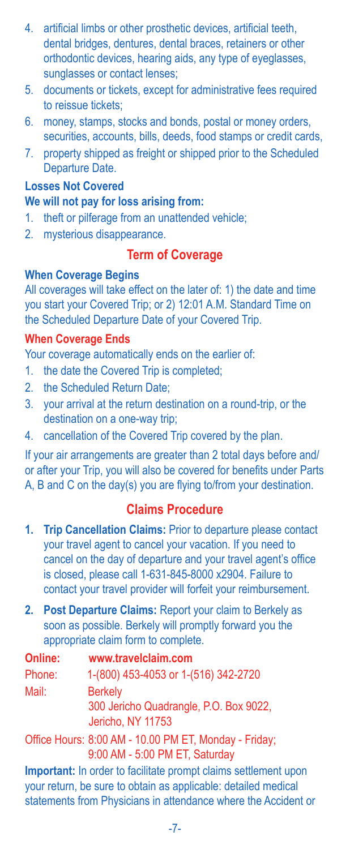- 4. artificial limbs or other prosthetic devices, artificial teeth, dental bridges, dentures, dental braces, retainers or other orthodontic devices, hearing aids, any type of eyeglasses, sunglasses or contact lenses;
- 5. documents or tickets, except for administrative fees required to reissue tickets;
- 6. money, stamps, stocks and bonds, postal or money orders, securities, accounts, bills, deeds, food stamps or credit cards,
- 7. property shipped as freight or shipped prior to the Scheduled Departure Date.

# **Losses Not Covered**

#### **We will not pay for loss arising from:**

- 1. theft or pilferage from an unattended vehicle;
- 2. mysterious disappearance.

# **Term of Coverage**

#### **When Coverage Begins**

All coverages will take effect on the later of: 1) the date and time you start your Covered Trip; or 2) 12:01 A.M. Standard Time on the Scheduled Departure Date of your Covered Trip.

#### **When Coverage Ends**

Your coverage automatically ends on the earlier of:

- 1. the date the Covered Trip is completed;
- 2. the Scheduled Return Date;
- 3. your arrival at the return destination on a round-trip, or the destination on a one-way trip;
- 4. cancellation of the Covered Trip covered by the plan.

If your air arrangements are greater than 2 total days before and/ or after your Trip, you will also be covered for benefits under Parts A, B and C on the day(s) you are flying to/from your destination.

### **Claims Procedure**

- **1. Trip Cancellation Claims:** Prior to departure please contact your travel agent to cancel your vacation. If you need to cancel on the day of departure and your travel agent's office is closed, please call 1-631-845-8000 x2904. Failure to contact your travel provider will forfeit your reimbursement.
- **2. Post Departure Claims:** Report your claim to Berkely as soon as possible. Berkely will promptly forward you the appropriate claim form to complete.

| Online: | www.travelclaim.com                                                                                                                      |
|---------|------------------------------------------------------------------------------------------------------------------------------------------|
| Phone:  | 1-(800) 453-4053 or 1-(516) 342-2720                                                                                                     |
| Mail:   | <b>Berkely</b>                                                                                                                           |
|         | 300 Jericho Quadrangle, P.O. Box 9022,<br>Jericho, NY 11753                                                                              |
|         | Office Hours: 8:00 AM - 10.00 PM ET, Monday - Friday;<br>9:00 AM - 5:00 PM ET, Saturday                                                  |
|         | <b>Important:</b> In order to facilitate prompt claims settlement upon<br>vour roturn, he sure to obtain as annliashle: detailed modical |

your return, be sure to obtain as applicable: detailed medical statements from Physicians in attendance where the Accident or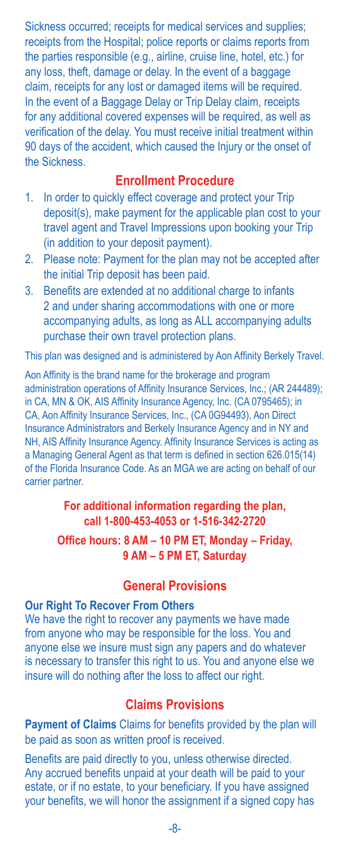Sickness occurred; receipts for medical services and supplies; receipts from the Hospital; police reports or claims reports from the parties responsible (e.g., airline, cruise line, hotel, etc.) for any loss, theft, damage or delay. In the event of a baggage claim, receipts for any lost or damaged items will be required. In the event of a Baggage Delay or Trip Delay claim, receipts for any additional covered expenses will be required, as well as verification of the delay. You must receive initial treatment within 90 days of the accident, which caused the Injury or the onset of the Sickness.

#### **Enrollment Procedure**

- 1. In order to quickly effect coverage and protect your Trip deposit(s), make payment for the applicable plan cost to your travel agent and Travel Impressions upon booking your Trip (in addition to your deposit payment).
- 2. Please note: Payment for the plan may not be accepted after the initial Trip deposit has been paid.
- 3. Benefits are extended at no additional charge to infants 2 and under sharing accommodations with one or more accompanying adults, as long as ALL accompanying adults purchase their own travel protection plans.

This plan was designed and is administered by Aon Affinity Berkely Travel.

Aon Affinity is the brand name for the brokerage and program administration operations of Affinity Insurance Services, Inc.; (AR 244489); in CA, MN & OK, AIS Affinity Insurance Agency, Inc. (CA 0795465); in CA, Aon Affinity Insurance Services, Inc., (CA 0G94493), Aon Direct Insurance Administrators and Berkely Insurance Agency and in NY and NH, AIS Affinity Insurance Agency. Affinity Insurance Services is acting as a Managing General Agent as that term is defined in section 626.015(14) of the Florida Insurance Code. As an MGA we are acting on behalf of our carrier partner.

#### **For additional information regarding the plan, call 1-800-453-4053 or 1-516-342-2720**

#### **Office hours: 8 AM – 10 PM ET, Monday – Friday, 9 AM – 5 PM ET, Saturday**

#### **General Provisions**

#### **Our Right To Recover From Others**

We have the right to recover any payments we have made from anyone who may be responsible for the loss. You and anyone else we insure must sign any papers and do whatever is necessary to transfer this right to us. You and anyone else we insure will do nothing after the loss to affect our right.

#### **Claims Provisions**

**Payment of Claims** Claims for benefits provided by the plan will be paid as soon as written proof is received.

Benefits are paid directly to you, unless otherwise directed. Any accrued benefits unpaid at your death will be paid to your estate, or if no estate, to your beneficiary. If you have assigned your benefits, we will honor the assignment if a signed copy has